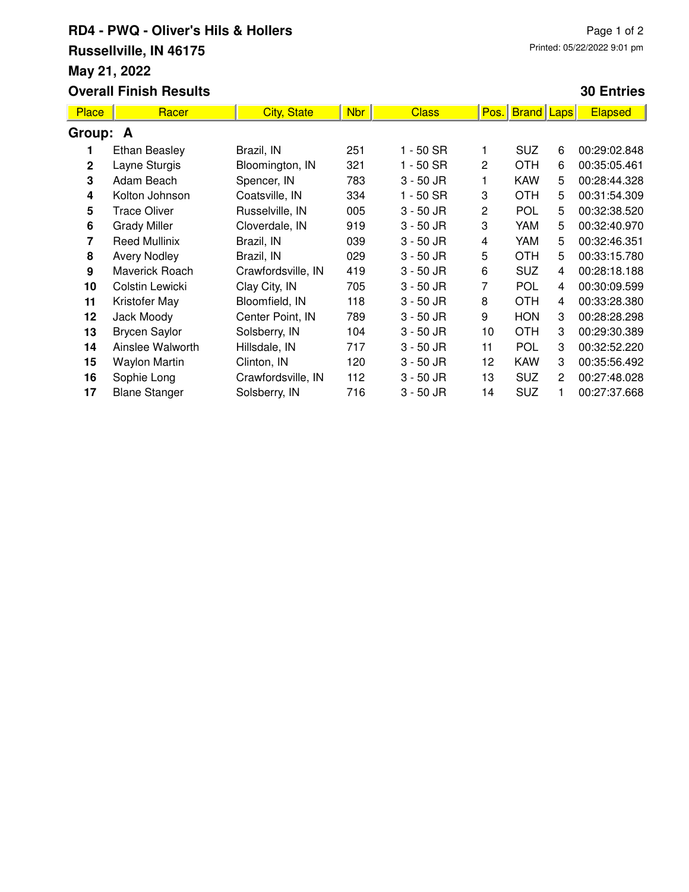## **RD4 - PWQ - Oliver's Hils & Hollers Russellville, IN 46175 May 21, 2022 Overall Finish Results**

## **30 Entries**

| <b>Place</b> | Racer                | <b>City, State</b> | <b>Nbr</b> | <b>Class</b> | Pos.            | <b>Brand</b> | Laps | <b>Elapsed</b> |  |  |
|--------------|----------------------|--------------------|------------|--------------|-----------------|--------------|------|----------------|--|--|
| Group: A     |                      |                    |            |              |                 |              |      |                |  |  |
|              | <b>Ethan Beasley</b> | Brazil, IN         | 251        | 1 - 50 SR    |                 | <b>SUZ</b>   | 6    | 00:29:02.848   |  |  |
| $\mathbf{2}$ | Layne Sturgis        | Bloomington, IN    | 321        | 1 - 50 SR    | $\overline{2}$  | <b>OTH</b>   | 6    | 00:35:05.461   |  |  |
| 3            | Adam Beach           | Spencer, IN        | 783        | $3 - 50$ JR  | 1               | <b>KAW</b>   | 5    | 00:28:44.328   |  |  |
| 4            | Kolton Johnson       | Coatsville, IN     | 334        | $1 - 50$ SR  | 3               | <b>OTH</b>   | 5    | 00:31:54.309   |  |  |
| 5            | <b>Trace Oliver</b>  | Russelville, IN    | 005        | $3 - 50$ JR  | 2               | <b>POL</b>   | 5    | 00:32:38.520   |  |  |
| 6            | <b>Grady Miller</b>  | Cloverdale, IN     | 919        | $3 - 50$ JR  | 3               | YAM          | 5    | 00:32:40.970   |  |  |
| 7            | <b>Reed Mullinix</b> | Brazil, IN         | 039        | $3 - 50$ JR  | 4               | YAM          | 5    | 00:32:46.351   |  |  |
| 8            | <b>Avery Nodley</b>  | Brazil, IN         | 029        | $3 - 50$ JR  | 5               | <b>OTH</b>   | 5    | 00:33:15.780   |  |  |
| 9            | Maverick Roach       | Crawfordsville, IN | 419        | $3 - 50$ JR  | 6               | <b>SUZ</b>   | 4    | 00:28:18.188   |  |  |
| 10           | Colstin Lewicki      | Clay City, IN      | 705        | $3 - 50$ JR  | 7               | <b>POL</b>   | 4    | 00:30:09.599   |  |  |
| 11           | Kristofer May        | Bloomfield, IN     | 118        | $3 - 50$ JR  | 8               | <b>OTH</b>   | 4    | 00:33:28.380   |  |  |
| 12           | Jack Moody           | Center Point, IN   | 789        | $3 - 50$ JR  | 9               | <b>HON</b>   | 3    | 00:28:28.298   |  |  |
| 13           | <b>Brycen Saylor</b> | Solsberry, IN      | 104        | $3 - 50$ JR  | 10 <sup>1</sup> | <b>OTH</b>   | 3    | 00:29:30.389   |  |  |
| 14           | Ainslee Walworth     | Hillsdale, IN      | 717        | $3 - 50$ JR  | 11              | <b>POL</b>   | 3    | 00:32:52.220   |  |  |
| 15           | Waylon Martin        | Clinton, IN        | 120        | $3 - 50$ JR  | 12              | <b>KAW</b>   | 3    | 00:35:56.492   |  |  |
| 16           | Sophie Long          | Crawfordsville, IN | 112        | $3 - 50$ JR  | 13              | <b>SUZ</b>   | 2    | 00:27:48.028   |  |  |
| 17           | <b>Blane Stanger</b> | Solsberry, IN      | 716        | $3 - 50$ JR  | 14              | <b>SUZ</b>   |      | 00:27:37.668   |  |  |